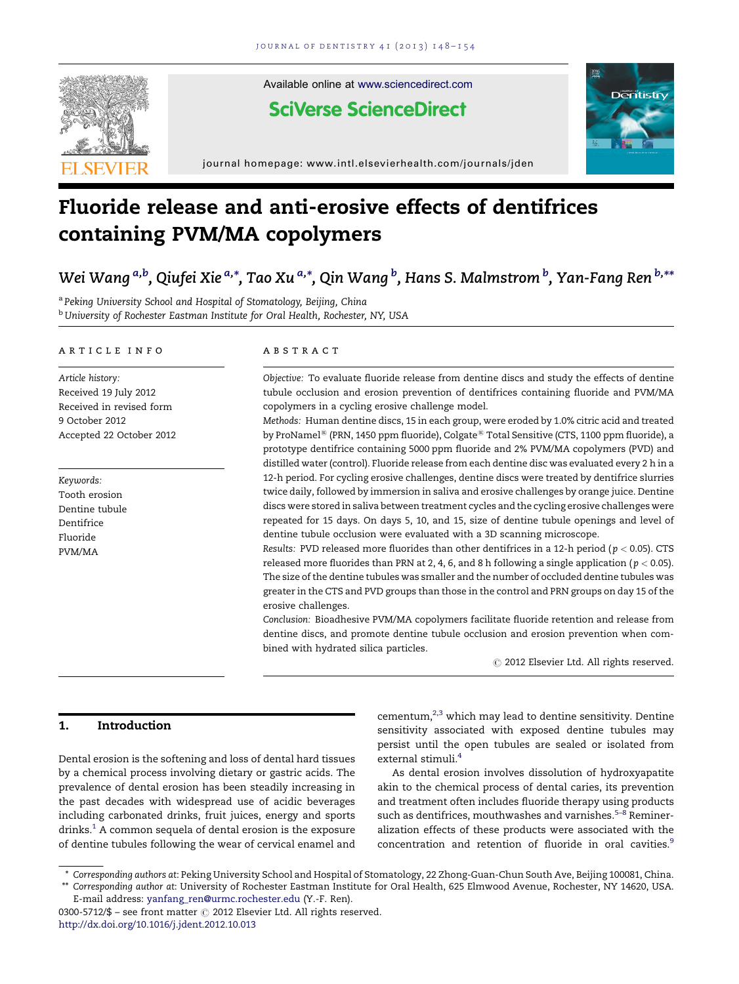

Available online at [www.sciencedirect.com](http://www.sciencedirect.com/science/journal/03005712)

# **SciVerse ScienceDirect**



journal homepage: www.intl.elsevierhealth.com/journals/jden

# Fluoride release and anti-erosive effects of dentifrices containing PVM/MA copolymers

# Wei Wang <sup>a,b</sup>, Qiufei Xie <sup>a,</sup>\*, Tao Xu <sup>a,</sup>\*, Qin Wang <sup>b</sup>, Hans S. Malmstrom <sup>b</sup>, Yan-Fang Ren <sup>b,</sup>\*\*

<sup>a</sup> Peking University School and Hospital of Stomatology, Beijing, China **b University of Rochester Eastman Institute for Oral Health, Rochester, NY, USA** 

#### a r t i c l e i n f o

Article history: Received 19 July 2012 Received in revised form 9 October 2012 Accepted 22 October 2012

Keywords: Tooth erosion Dentine tubule Dentifrice Fluoride PVM/MA

#### A B S T R A C T

Objective: To evaluate fluoride release from dentine discs and study the effects of dentine tubule occlusion and erosion prevention of dentifrices containing fluoride and PVM/MA copolymers in a cycling erosive challenge model.

Methods: Human dentine discs, 15 in each group, were eroded by 1.0% citric acid and treated by ProNamel<sup>®</sup> (PRN, 1450 ppm fluoride), Colgate® Total Sensitive (CTS, 1100 ppm fluoride), a prototype dentifrice containing 5000 ppm fluoride and 2% PVM/MA copolymers (PVD) and distilled water (control). Fluoride release from each dentine disc was evaluated every 2 h in a 12-h period. For cycling erosive challenges, dentine discs were treated by dentifrice slurries twice daily, followed by immersion in saliva and erosive challenges by orange juice. Dentine discs were stored in saliva between treatment cycles and the cycling erosive challenges were repeated for 15 days. On days 5, 10, and 15, size of dentine tubule openings and level of dentine tubule occlusion were evaluated with a 3D scanning microscope.

Results: PVD released more fluorides than other dentifrices in a 12-h period ( $p < 0.05$ ). CTS released more fluorides than PRN at 2, 4, 6, and 8 h following a single application ( $p < 0.05$ ). The size of the dentine tubules was smaller and the number of occluded dentine tubules was greater in the CTS and PVD groups than those in the control and PRN groups on day 15 of the erosive challenges.

Conclusion: Bioadhesive PVM/MA copolymers facilitate fluoride retention and release from dentine discs, and promote dentine tubule occlusion and erosion prevention when combined with hydrated silica particles.

 $\odot$  2012 Elsevier Ltd. All rights reserved.

# 1. Introduction

Dental erosion is the softening and loss of dental hard tissues by a chemical process involving dietary or gastric acids. The prevalence of dental erosion has been steadily increasing in the past decades with widespread use of acidic beverages including carbonated drinks, fruit juices, energy and sports drinks.<sup>1</sup> A common sequela of dental erosion is the exposure of dentine tubules following the wear of cervical enamel and cementum, $2,3$  which may lead to dentine sensitivity. Dentine sensitivity associated with exposed dentine tubules may persist until the open tubules are sealed or isolated from external stimuli[.4](#page-5-0)

As dental erosion involves dissolution of hydroxyapatite akin to the chemical process of dental caries, its prevention and treatment often includes fluoride therapy using products such as dentifrices, mouthwashes and varnishes.<sup>5-8</sup> Remineralization effects of these products were associated with the concentration and retention of fluoride in oral cavities.[9](#page-5-0)

E-mail address: [yanfang\\_ren@urmc.rochester.edu](mailto:yanfang_ren@urmc.rochester.edu) (Y.-F. Ren). 0300-5712/\$ – see front matter  $\odot$  2012 Elsevier Ltd. All rights reserved. <http://dx.doi.org/10.1016/j.jdent.2012.10.013>

<sup>\*</sup> Corresponding authors at: Peking University School and Hospital of Stomatology, 22 Zhong-Guan-Chun South Ave, Beijing 100081, China. \*\* Corresponding author at: University of Rochester Eastman Institute for Oral Health, 625 Elmwood Avenue, Rochester, NY 14620, USA.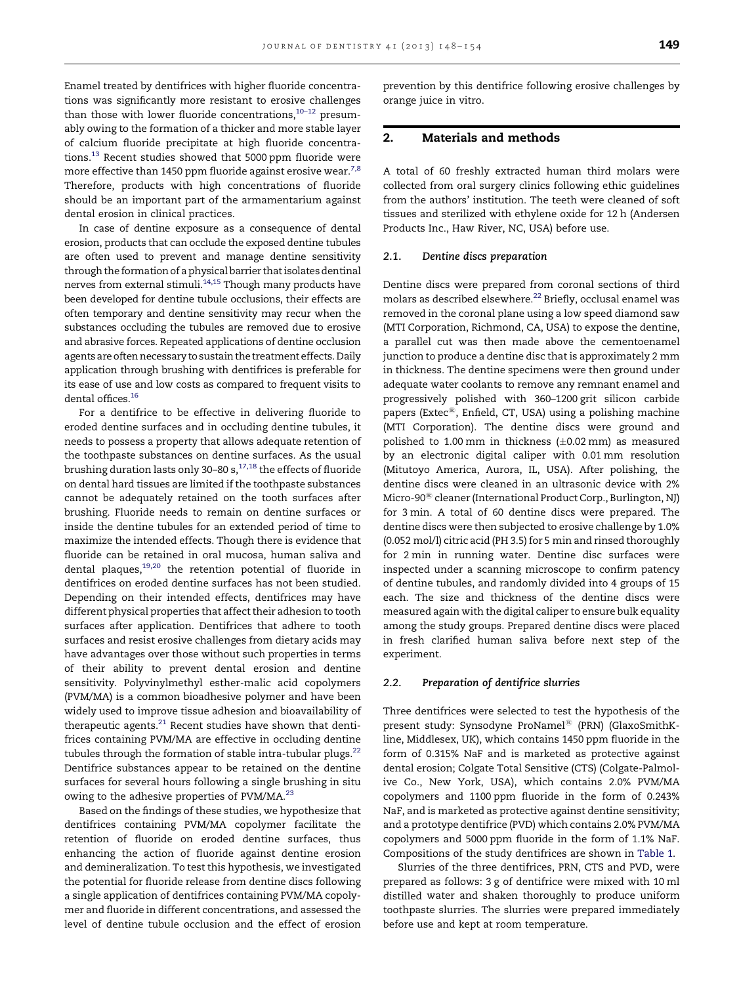Enamel treated by dentifrices with higher fluoride concentrations was significantly more resistant to erosive challenges than those with lower fluoride concentrations, $10-12$  presumably owing to the formation of a thicker and more stable layer of calcium fluoride precipitate at high fluoride concentra-tions.<sup>[13](#page-5-0)</sup> Recent studies showed that 5000 ppm fluoride were more effective than 1450 ppm fluoride against erosive wear.<sup>[7,8](#page-5-0)</sup> Therefore, products with high concentrations of fluoride should be an important part of the armamentarium against dental erosion in clinical practices.

In case of dentine exposure as a consequence of dental erosion, products that can occlude the exposed dentine tubules are often used to prevent and manage dentine sensitivity through the formation of a physical barrier that isolates dentinal nerves from external stimuli.<sup>[14,15](#page-5-0)</sup> Though many products have been developed for dentine tubule occlusions, their effects are often temporary and dentine sensitivity may recur when the substances occluding the tubules are removed due to erosive and abrasive forces. Repeated applications of dentine occlusion agents are often necessary to sustain the treatment effects. Daily application through brushing with dentifrices is preferable for its ease of use and low costs as compared to frequent visits to dental offices.<sup>16</sup>

For a dentifrice to be effective in delivering fluoride to eroded dentine surfaces and in occluding dentine tubules, it needs to possess a property that allows adequate retention of the toothpaste substances on dentine surfaces. As the usual brushing duration lasts only 30–80 s, $^{17,18}$  the effects of fluoride on dental hard tissues are limited if the toothpaste substances cannot be adequately retained on the tooth surfaces after brushing. Fluoride needs to remain on dentine surfaces or inside the dentine tubules for an extended period of time to maximize the intended effects. Though there is evidence that fluoride can be retained in oral mucosa, human saliva and dental plaques, $19,20$  the retention potential of fluoride in dentifrices on eroded dentine surfaces has not been studied. Depending on their intended effects, dentifrices may have different physical properties that affect their adhesion to tooth surfaces after application. Dentifrices that adhere to tooth surfaces and resist erosive challenges from dietary acids may have advantages over those without such properties in terms of their ability to prevent dental erosion and dentine sensitivity. Polyvinylmethyl esther-malic acid copolymers (PVM/MA) is a common bioadhesive polymer and have been widely used to improve tissue adhesion and bioavailability of therapeutic agents. $21$  Recent studies have shown that dentifrices containing PVM/MA are effective in occluding dentine tubules through the formation of stable intra-tubular plugs.<sup>22</sup> Dentifrice substances appear to be retained on the dentine surfaces for several hours following a single brushing in situ owing to the adhesive properties of PVM/MA.<sup>23</sup>

Based on the findings of these studies, we hypothesize that dentifrices containing PVM/MA copolymer facilitate the retention of fluoride on eroded dentine surfaces, thus enhancing the action of fluoride against dentine erosion and demineralization. To test this hypothesis, we investigated the potential for fluoride release from dentine discs following a single application of dentifrices containing PVM/MA copolymer and fluoride in different concentrations, and assessed the level of dentine tubule occlusion and the effect of erosion

prevention by this dentifrice following erosive challenges by orange juice in vitro.

# 2. Materials and methods

A total of 60 freshly extracted human third molars were collected from oral surgery clinics following ethic guidelines from the authors' institution. The teeth were cleaned of soft tissues and sterilized with ethylene oxide for 12 h (Andersen Products Inc., Haw River, NC, USA) before use.

#### 2.1. Dentine discs preparation

Dentine discs were prepared from coronal sections of third molars as described elsewhere.<sup>[22](#page-5-0)</sup> Briefly, occlusal enamel was removed in the coronal plane using a low speed diamond saw (MTI Corporation, Richmond, CA, USA) to expose the dentine, a parallel cut was then made above the cementoenamel junction to produce a dentine disc that is approximately 2 mm in thickness. The dentine specimens were then ground under adequate water coolants to remove any remnant enamel and progressively polished with 360–1200 grit silicon carbide papers (Extec $\mathbb{B}$ , Enfield, CT, USA) using a polishing machine (MTI Corporation). The dentine discs were ground and polished to 1.00 mm in thickness ( $\pm$ 0.02 mm) as measured by an electronic digital caliper with 0.01 mm resolution (Mitutoyo America, Aurora, IL, USA). After polishing, the dentine discs were cleaned in an ultrasonic device with 2% Micro-90<sup>®</sup> cleaner (International Product Corp., Burlington, NJ) for 3 min. A total of 60 dentine discs were prepared. The dentine discs were then subjected to erosive challenge by 1.0% (0.052 mol/l) citric acid (PH 3.5) for 5 min and rinsed thoroughly for 2 min in running water. Dentine disc surfaces were inspected under a scanning microscope to confirm patency of dentine tubules, and randomly divided into 4 groups of 15 each. The size and thickness of the dentine discs were measured again with the digital caliper to ensure bulk equality among the study groups. Prepared dentine discs were placed in fresh clarified human saliva before next step of the experiment.

#### 2.2. Preparation of dentifrice slurries

Three dentifrices were selected to test the hypothesis of the present study: Synsodyne ProNamel<sup>®</sup> (PRN) (GlaxoSmithKline, Middlesex, UK), which contains 1450 ppm fluoride in the form of 0.315% NaF and is marketed as protective against dental erosion; Colgate Total Sensitive (CTS) (Colgate-Palmolive Co., New York, USA), which contains 2.0% PVM/MA copolymers and 1100 ppm fluoride in the form of 0.243% NaF, and is marketed as protective against dentine sensitivity; and a prototype dentifrice (PVD) which contains 2.0% PVM/MA copolymers and 5000 ppm fluoride in the form of 1.1% NaF. Compositions of the study dentifrices are shown in [Table](#page-2-0) 1.

Slurries of the three dentifrices, PRN, CTS and PVD, were prepared as follows: 3 g of dentifrice were mixed with 10 ml distilled water and shaken thoroughly to produce uniform toothpaste slurries. The slurries were prepared immediately before use and kept at room temperature.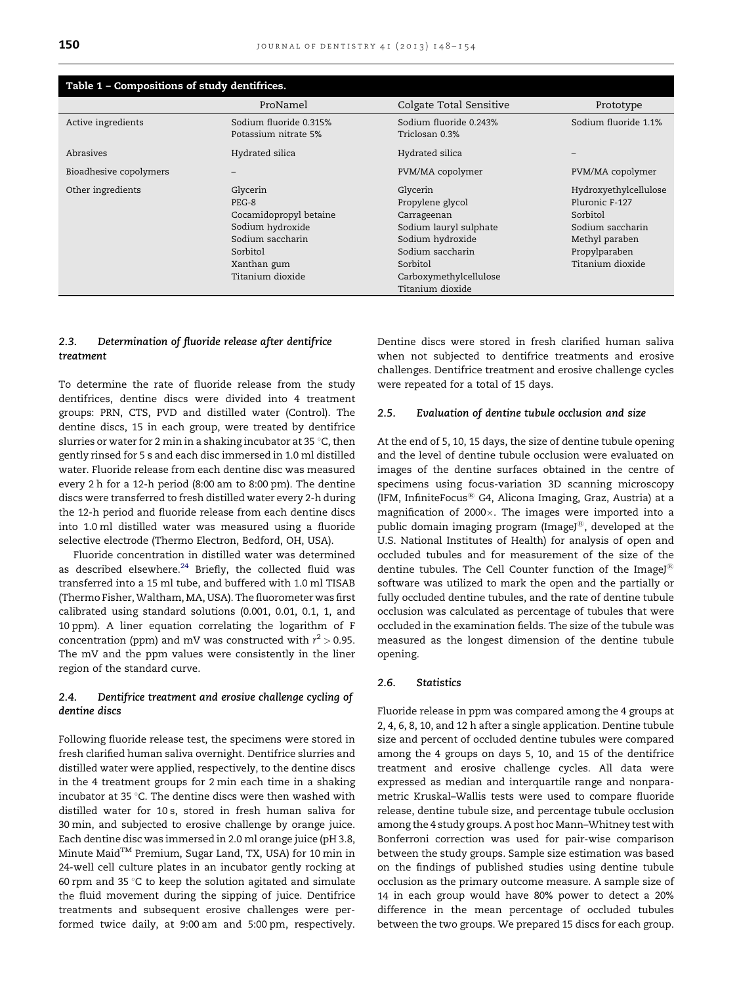<span id="page-2-0"></span>

| Table 1 - Compositions of study dentifrices. |                                                                                                                                      |                                                                                                                                                                         |                                                                                                                                |  |  |  |  |  |
|----------------------------------------------|--------------------------------------------------------------------------------------------------------------------------------------|-------------------------------------------------------------------------------------------------------------------------------------------------------------------------|--------------------------------------------------------------------------------------------------------------------------------|--|--|--|--|--|
|                                              | ProNamel                                                                                                                             | Colgate Total Sensitive                                                                                                                                                 | Prototype                                                                                                                      |  |  |  |  |  |
| Active ingredients                           | Sodium fluoride 0.315%<br>Potassium nitrate 5%                                                                                       | Sodium fluoride 0.243%<br>Triclosan 0.3%                                                                                                                                | Sodium fluoride 1.1%                                                                                                           |  |  |  |  |  |
| Abrasiyes                                    | Hydrated silica                                                                                                                      | Hydrated silica                                                                                                                                                         |                                                                                                                                |  |  |  |  |  |
| Bioadhesive copolymers                       |                                                                                                                                      | PVM/MA copolymer                                                                                                                                                        | PVM/MA copolymer                                                                                                               |  |  |  |  |  |
| Other ingredients                            | Glycerin<br>$PEG-8$<br>Cocamidopropyl betaine<br>Sodium hydroxide<br>Sodium saccharin<br>Sorbitol<br>Xanthan gum<br>Titanium dioxide | Glycerin<br>Propylene glycol<br>Carrageenan<br>Sodium lauryl sulphate<br>Sodium hydroxide<br>Sodium saccharin<br>Sorbitol<br>Carboxymethylcellulose<br>Titanium dioxide | Hydroxyethylcellulose<br>Pluronic F-127<br>Sorbitol<br>Sodium saccharin<br>Methyl paraben<br>Propylparaben<br>Titanium dioxide |  |  |  |  |  |

# 2.3. Determination of fluoride release after dentifrice treatment

To determine the rate of fluoride release from the study dentifrices, dentine discs were divided into 4 treatment groups: PRN, CTS, PVD and distilled water (Control). The dentine discs, 15 in each group, were treated by dentifrice slurries or water for 2 min in a shaking incubator at 35  $\degree$ C, then gently rinsed for 5 s and each disc immersed in 1.0 ml distilled water. Fluoride release from each dentine disc was measured every 2 h for a 12-h period (8:00 am to 8:00 pm). The dentine discs were transferred to fresh distilled water every 2-h during the 12-h period and fluoride release from each dentine discs into 1.0 ml distilled water was measured using a fluoride selective electrode (Thermo Electron, Bedford, OH, USA).

Fluoride concentration in distilled water was determined as described elsewhere. $24$  Briefly, the collected fluid was transferred into a 15 ml tube, and buffered with 1.0 ml TISAB (Thermo Fisher, Waltham, MA, USA). The fluorometer was first calibrated using standard solutions (0.001, 0.01, 0.1, 1, and 10 ppm). A liner equation correlating the logarithm of F concentration (ppm) and mV was constructed with  $r^2 > 0.95$ . The mV and the ppm values were consistently in the liner region of the standard curve.

# 2.4. Dentifrice treatment and erosive challenge cycling of dentine discs

Following fluoride release test, the specimens were stored in fresh clarified human saliva overnight. Dentifrice slurries and distilled water were applied, respectively, to the dentine discs in the 4 treatment groups for 2 min each time in a shaking incubator at 35 °C. The dentine discs were then washed with distilled water for 10 s, stored in fresh human saliva for 30 min, and subjected to erosive challenge by orange juice. Each dentine disc was immersed in 2.0 ml orange juice (pH 3.8, Minute MaidTM Premium, Sugar Land, TX, USA) for 10 min in 24-well cell culture plates in an incubator gently rocking at 60 rpm and 35  $\degree$ C to keep the solution agitated and simulate the fluid movement during the sipping of juice. Dentifrice treatments and subsequent erosive challenges were performed twice daily, at 9:00 am and 5:00 pm, respectively.

Dentine discs were stored in fresh clarified human saliva when not subjected to dentifrice treatments and erosive challenges. Dentifrice treatment and erosive challenge cycles were repeated for a total of 15 days.

#### 2.5. Evaluation of dentine tubule occlusion and size

At the end of 5, 10, 15 days, the size of dentine tubule opening and the level of dentine tubule occlusion were evaluated on images of the dentine surfaces obtained in the centre of specimens using focus-variation 3D scanning microscopy (IFM, InfiniteFocus $^{\circledR}$  G4, Alicona Imaging, Graz, Austria) at a magnification of  $2000 \times$ . The images were imported into a public domain imaging program (ImageJ®, developed at the U.S. National Institutes of Health) for analysis of open and occluded tubules and for measurement of the size of the dentine tubules. The Cell Counter function of the ImageJ<sup>®</sup> software was utilized to mark the open and the partially or fully occluded dentine tubules, and the rate of dentine tubule occlusion was calculated as percentage of tubules that were occluded in the examination fields. The size of the tubule was measured as the longest dimension of the dentine tubule opening.

### 2.6. Statistics

Fluoride release in ppm was compared among the 4 groups at 2, 4, 6, 8, 10, and 12 h after a single application. Dentine tubule size and percent of occluded dentine tubules were compared among the 4 groups on days 5, 10, and 15 of the dentifrice treatment and erosive challenge cycles. All data were expressed as median and interquartile range and nonparametric Kruskal–Wallis tests were used to compare fluoride release, dentine tubule size, and percentage tubule occlusion among the 4 study groups. A post hoc Mann–Whitney test with Bonferroni correction was used for pair-wise comparison between the study groups. Sample size estimation was based on the findings of published studies using dentine tubule occlusion as the primary outcome measure. A sample size of 14 in each group would have 80% power to detect a 20% difference in the mean percentage of occluded tubules between the two groups. We prepared 15 discs for each group.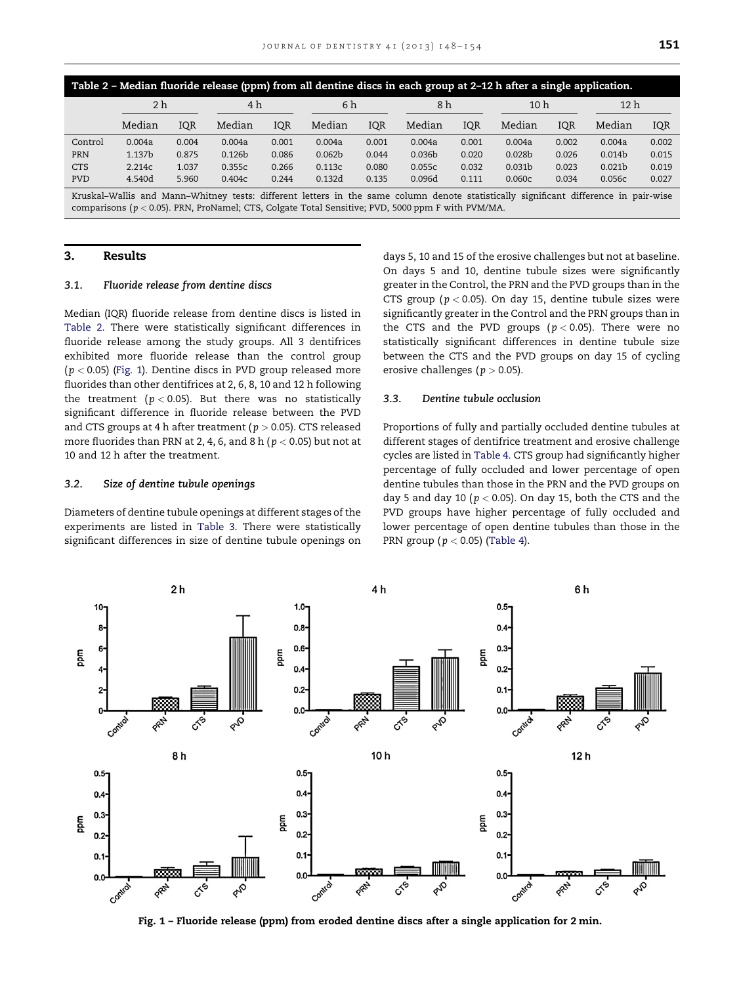<span id="page-3-0"></span>

| Table 2 - Median fluoride release (ppm) from all dentine discs in each group at 2-12 h after a single application.                   |        |            |                    |       |                    |       |                    |       |                    |       |                    |       |
|--------------------------------------------------------------------------------------------------------------------------------------|--------|------------|--------------------|-------|--------------------|-------|--------------------|-------|--------------------|-------|--------------------|-------|
|                                                                                                                                      | 2 h    |            | 4 h                |       | 6 h                |       | 8 h                |       | 10 <sub>h</sub>    |       | 12 <sub>h</sub>    |       |
|                                                                                                                                      | Median | <b>IQR</b> | Median             | IQR   | Median             | IQR   | Median             | IQR   | Median             | IQR   | Median             | IQR   |
| Control                                                                                                                              | 0.004a | 0.004      | 0.004a             | 0.001 | 0.004a             | 0.001 | 0.004a             | 0.001 | 0.004a             | 0.002 | 0.004a             | 0.002 |
| PRN                                                                                                                                  | 1.137b | 0.875      | 0.126 <sub>b</sub> | 0.086 | 0.062 <sub>b</sub> | 0.044 | 0.036 <sub>b</sub> | 0.020 | 0.028 <sub>b</sub> | 0.026 | 0.014 <sub>b</sub> | 0.015 |
| <b>CTS</b>                                                                                                                           | 2.214c | 1.037      | 0.355c             | 0.266 | 0.113c             | 0.080 | 0.055c             | 0.032 | 0.031 <sub>b</sub> | 0.023 | 0.021 <sub>b</sub> | 0.019 |
| <b>PVD</b>                                                                                                                           | 4.540d | 5.960      | 0.404c             | 0.244 | 0.132d             | 0.135 | 0.096d             | 0.111 | 0.060c             | 0.034 | 0.056c             | 0.027 |
| Kruskal-Wallis and Mann-Whitney tests: different letters in the same column denote statistically significant difference in pair-wise |        |            |                    |       |                    |       |                    |       |                    |       |                    |       |

comparisons ( $p < 0.05$ ). PRN, ProNamel; CTS, Colgate Total Sensitive; PVD, 5000 ppm F with PVM/MA.

#### 3. Results

### 3.1. Fluoride release from dentine discs

Median (IQR) fluoride release from dentine discs is listed in Table 2. There were statistically significant differences in fluoride release among the study groups. All 3 dentifrices exhibited more fluoride release than the control group ( $p < 0.05$ ) (Fig. 1). Dentine discs in PVD group released more fluorides than other dentifrices at 2, 6, 8, 10 and 12 h following the treatment ( $p < 0.05$ ). But there was no statistically significant difference in fluoride release between the PVD and CTS groups at 4 h after treatment ( $p > 0.05$ ). CTS released more fluorides than PRN at 2, 4, 6, and 8 h ( $p < 0.05$ ) but not at 10 and 12 h after the treatment.

#### 3.2. Size of dentine tubule openings

Diameters of dentine tubule openings at different stages of the experiments are listed in [Table](#page-4-0) 3. There were statistically significant differences in size of dentine tubule openings on

days 5, 10 and 15 of the erosive challenges but not at baseline. On days 5 and 10, dentine tubule sizes were significantly greater in the Control, the PRN and the PVD groups than in the CTS group ( $p < 0.05$ ). On day 15, dentine tubule sizes were significantly greater in the Control and the PRN groups than in the CTS and the PVD groups ( $p < 0.05$ ). There were no statistically significant differences in dentine tubule size between the CTS and the PVD groups on day 15 of cycling erosive challenges ( $p > 0.05$ ).

### 3.3. Dentine tubule occlusion

Proportions of fully and partially occluded dentine tubules at different stages of dentifrice treatment and erosive challenge cycles are listed in [Table](#page-4-0) 4. CTS group had significantly higher percentage of fully occluded and lower percentage of open dentine tubules than those in the PRN and the PVD groups on day 5 and day 10 ( $p < 0.05$ ). On day 15, both the CTS and the PVD groups have higher percentage of fully occluded and lower percentage of open dentine tubules than those in the PRN group ( $p < 0.05$ ) [\(Table](#page-4-0) 4).



Fig. 1 – Fluoride release (ppm) from eroded dentine discs after a single application for 2 min.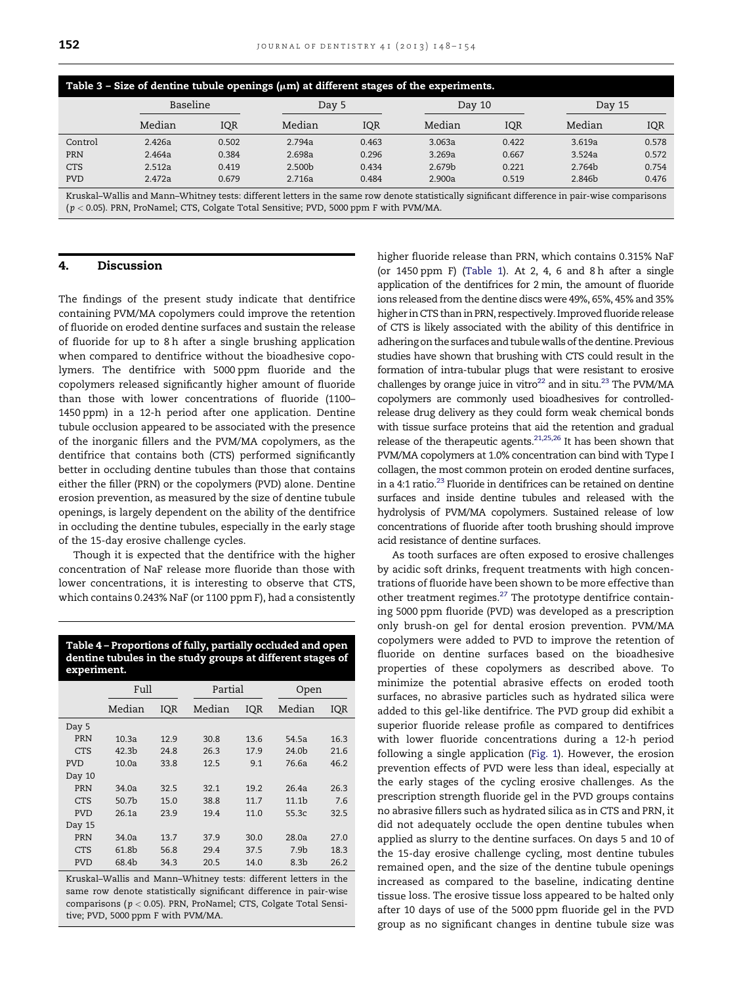<span id="page-4-0"></span>

| Table 3 - Size of dentine tubule openings $(\mu m)$ at different stages of the experiments.                                                   |        |          |        |       |        |            |        |            |  |
|-----------------------------------------------------------------------------------------------------------------------------------------------|--------|----------|--------|-------|--------|------------|--------|------------|--|
|                                                                                                                                               |        | Baseline |        | Day 5 |        | Day 10     | Day 15 |            |  |
|                                                                                                                                               | Median | IQR      | Median | IQR   | Median | <b>IQR</b> | Median | <b>IQR</b> |  |
| Control                                                                                                                                       | 2.426a | 0.502    | 2.794a | 0.463 | 3.063a | 0.422      | 3.619a | 0.578      |  |
| <b>PRN</b>                                                                                                                                    | 2.464a | 0.384    | 2.698a | 0.296 | 3.269a | 0.667      | 3.524a | 0.572      |  |
| <b>CTS</b>                                                                                                                                    | 2.512a | 0.419    | 2.500b | 0.434 | 2.679b | 0.221      | 2.764b | 0.754      |  |
| <b>PVD</b>                                                                                                                                    | 2.472a | 0.679    | 2.716a | 0.484 | 2.900a | 0.519      | 2.846b | 0.476      |  |
| Kruskal-Wallis and Mann-Whitney tests: different letters in the same row denote statistically significant difference in pair-wise comparisons |        |          |        |       |        |            |        |            |  |

Kruskal–Wallis and Mann–Whitney tests: different letters in the same row denote statistically significant difference in pair-wise comparisons  $(p < 0.05)$ . PRN, ProNamel; CTS, Colgate Total Sensitive; PVD, 5000 ppm F with PVM/MA.

# 4. Discussion

The findings of the present study indicate that dentifrice containing PVM/MA copolymers could improve the retention of fluoride on eroded dentine surfaces and sustain the release of fluoride for up to 8 h after a single brushing application when compared to dentifrice without the bioadhesive copolymers. The dentifrice with 5000 ppm fluoride and the copolymers released significantly higher amount of fluoride than those with lower concentrations of fluoride (1100– 1450 ppm) in a 12-h period after one application. Dentine tubule occlusion appeared to be associated with the presence of the inorganic fillers and the PVM/MA copolymers, as the dentifrice that contains both (CTS) performed significantly better in occluding dentine tubules than those that contains either the filler (PRN) or the copolymers (PVD) alone. Dentine erosion prevention, as measured by the size of dentine tubule openings, is largely dependent on the ability of the dentifrice in occluding the dentine tubules, especially in the early stage of the 15-day erosive challenge cycles.

Though it is expected that the dentifrice with the higher concentration of NaF release more fluoride than those with lower concentrations, it is interesting to observe that CTS, which contains 0.243% NaF (or 1100 ppm F), had a consistently

Table 4 – Proportions of fully, partially occluded and open dentine tubules in the study groups at different stages of experiment.

|            | Full              |      | Partial |      | Open              |      |
|------------|-------------------|------|---------|------|-------------------|------|
|            | Median            | IQR  | Median  | IQR  | Median            | IQR  |
| Day 5      |                   |      |         |      |                   |      |
| PRN        | 10.3a             | 12.9 | 30.8    | 13.6 | 54.5a             | 16.3 |
| <b>CTS</b> | 42.3 <sub>b</sub> | 24.8 | 26.3    | 17.9 | 24.0 <sub>b</sub> | 21.6 |
| <b>PVD</b> | 10.0a             | 33.8 | 12.5    | 9.1  | 76.6a             | 46.2 |
| Day 10     |                   |      |         |      |                   |      |
| PRN        | 34.0a             | 32.5 | 32.1    | 19.2 | 26.4a             | 26.3 |
| <b>CTS</b> | 50.7 <sub>b</sub> | 15.0 | 38.8    | 11.7 | 11.1 <sub>b</sub> | 7.6  |
| <b>PVD</b> | 26.1a             | 23.9 | 19.4    | 11.0 | 55.3c             | 32.5 |
| Day 15     |                   |      |         |      |                   |      |
| PRN        | 34.0a             | 13.7 | 37.9    | 30.0 | 28.0a             | 27.0 |
| <b>CTS</b> | 61.8b             | 56.8 | 29.4    | 37.5 | 7.9 <sub>b</sub>  | 18.3 |
| <b>PVD</b> | 68.4b             | 34.3 | 20.5    | 14.0 | 8.3 <sub>b</sub>  | 26.2 |

Kruskal–Wallis and Mann–Whitney tests: different letters in the same row denote statistically significant difference in pair-wise comparisons ( $p < 0.05$ ). PRN, ProNamel; CTS, Colgate Total Sensitive; PVD, 5000 ppm F with PVM/MA.

higher fluoride release than PRN, which contains 0.315% NaF (or 1450 ppm F) [\(Table](#page-2-0) 1). At 2, 4, 6 and 8 h after a single application of the dentifrices for 2 min, the amount of fluoride ions released from the dentine discs were 49%, 65%, 45% and 35% higher in CTS than in PRN, respectively. Improved fluoride release of CTS is likely associated with the ability of this dentifrice in adhering on the surfaces and tubule walls of the dentine. Previous studies have shown that brushing with CTS could result in the formation of intra-tubular plugs that were resistant to erosive challenges by orange juice in vitro<sup>22</sup> and in situ.<sup>[23](#page-6-0)</sup> The PVM/MA copolymers are commonly used bioadhesives for controlledrelease drug delivery as they could form weak chemical bonds with tissue surface proteins that aid the retention and gradual release of the therapeutic agents.[21,25,26](#page-5-0) It has been shown that PVM/MA copolymers at 1.0% concentration can bind with Type I collagen, the most common protein on eroded dentine surfaces, in a 4:1 ratio.<sup>23</sup> Fluoride in dentifrices can be retained on dentine surfaces and inside dentine tubules and released with the hydrolysis of PVM/MA copolymers. Sustained release of low concentrations of fluoride after tooth brushing should improve acid resistance of dentine surfaces.

As tooth surfaces are often exposed to erosive challenges by acidic soft drinks, frequent treatments with high concentrations of fluoride have been shown to be more effective than other treatment regimes.<sup>[27](#page-6-0)</sup> The prototype dentifrice containing 5000 ppm fluoride (PVD) was developed as a prescription only brush-on gel for dental erosion prevention. PVM/MA copolymers were added to PVD to improve the retention of fluoride on dentine surfaces based on the bioadhesive properties of these copolymers as described above. To minimize the potential abrasive effects on eroded tooth surfaces, no abrasive particles such as hydrated silica were added to this gel-like dentifrice. The PVD group did exhibit a superior fluoride release profile as compared to dentifrices with lower fluoride concentrations during a 12-h period following a single application [\(Fig.](#page-3-0) 1). However, the erosion prevention effects of PVD were less than ideal, especially at the early stages of the cycling erosive challenges. As the prescription strength fluoride gel in the PVD groups contains no abrasive fillers such as hydrated silica as in CTS and PRN, it did not adequately occlude the open dentine tubules when applied as slurry to the dentine surfaces. On days 5 and 10 of the 15-day erosive challenge cycling, most dentine tubules remained open, and the size of the dentine tubule openings increased as compared to the baseline, indicating dentine tissue loss. The erosive tissue loss appeared to be halted only after 10 days of use of the 5000 ppm fluoride gel in the PVD group as no significant changes in dentine tubule size was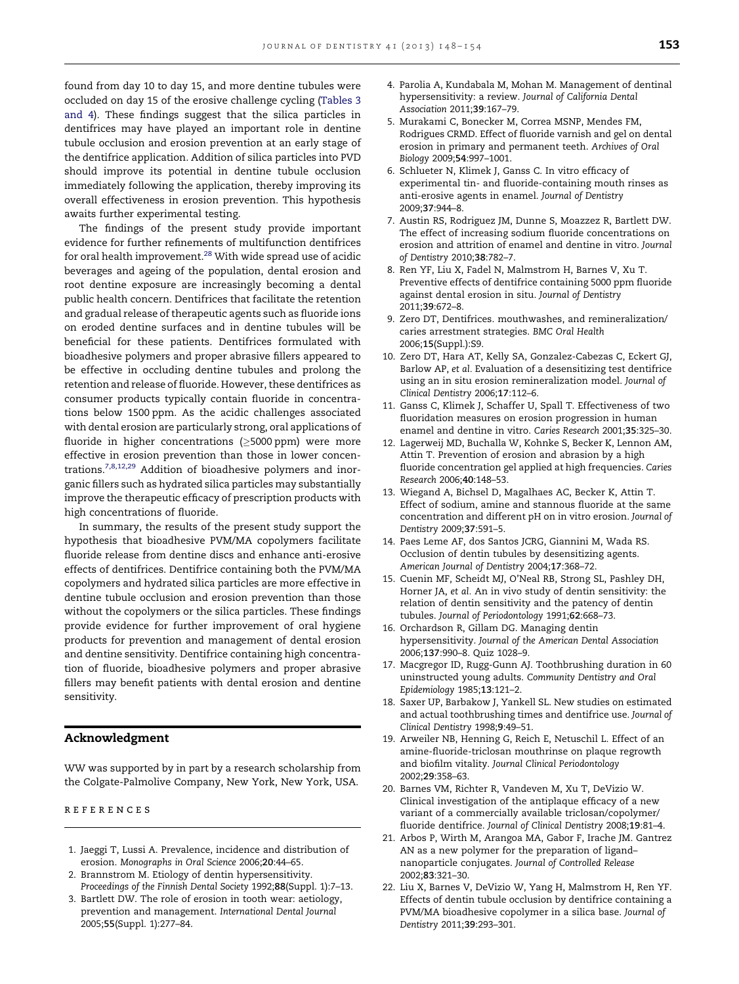<span id="page-5-0"></span>found from day 10 to day 15, and more dentine tubules were occluded on day 15 of the erosive challenge cycling ([Tables](#page-4-0) 3 [and](#page-4-0) 4). These findings suggest that the silica particles in dentifrices may have played an important role in dentine tubule occlusion and erosion prevention at an early stage of the dentifrice application. Addition of silica particles into PVD should improve its potential in dentine tubule occlusion immediately following the application, thereby improving its overall effectiveness in erosion prevention. This hypothesis awaits further experimental testing.

The findings of the present study provide important evidence for further refinements of multifunction dentifrices for oral health improvement.<sup>28</sup> With wide spread use of acidic beverages and ageing of the population, dental erosion and root dentine exposure are increasingly becoming a dental public health concern. Dentifrices that facilitate the retention and gradual release of therapeutic agents such as fluoride ions on eroded dentine surfaces and in dentine tubules will be beneficial for these patients. Dentifrices formulated with bioadhesive polymers and proper abrasive fillers appeared to be effective in occluding dentine tubules and prolong the retention and release of fluoride. However, these dentifrices as consumer products typically contain fluoride in concentrations below 1500 ppm. As the acidic challenges associated with dental erosion are particularly strong, oral applications of fluoride in higher concentrations ( $\geq$ 5000 ppm) were more effective in erosion prevention than those in lower concentrations.7,8,12,29 Addition of bioadhesive polymers and inorganic fillers such as hydrated silica particles may substantially improve the therapeutic efficacy of prescription products with high concentrations of fluoride.

In summary, the results of the present study support the hypothesis that bioadhesive PVM/MA copolymers facilitate fluoride release from dentine discs and enhance anti-erosive effects of dentifrices. Dentifrice containing both the PVM/MA copolymers and hydrated silica particles are more effective in dentine tubule occlusion and erosion prevention than those without the copolymers or the silica particles. These findings provide evidence for further improvement of oral hygiene products for prevention and management of dental erosion and dentine sensitivity. Dentifrice containing high concentration of fluoride, bioadhesive polymers and proper abrasive fillers may benefit patients with dental erosion and dentine sensitivity.

### Acknowledgment

WW was supported by in part by a research scholarship from the Colgate-Palmolive Company, New York, New York, USA.

r e f e r e n c e s

- 1. Jaeggi T, Lussi A. Prevalence, incidence and distribution of erosion. Monographs in Oral Science 2006;20:44–65.
- 2. Brannstrom M. Etiology of dentin hypersensitivity. Proceedings of the Finnish Dental Society 1992;88(Suppl. 1):7–13.
- 3. Bartlett DW. The role of erosion in tooth wear: aetiology, prevention and management. International Dental Journal 2005;55(Suppl. 1):277–84.
- 4. Parolia A, Kundabala M, Mohan M. Management of dentinal hypersensitivity: a review. Journal of California Dental Association 2011;39:167–79.
- 5. Murakami C, Bonecker M, Correa MSNP, Mendes FM, Rodrigues CRMD. Effect of fluoride varnish and gel on dental erosion in primary and permanent teeth. Archives of Oral Biology 2009;54:997–1001.
- 6. Schlueter N, Klimek J, Ganss C. In vitro efficacy of experimental tin- and fluoride-containing mouth rinses as anti-erosive agents in enamel. Journal of Dentistry 2009;37:944–8.
- 7. Austin RS, Rodriguez JM, Dunne S, Moazzez R, Bartlett DW. The effect of increasing sodium fluoride concentrations on erosion and attrition of enamel and dentine in vitro. Journal of Dentistry 2010;38:782–7.
- 8. Ren YF, Liu X, Fadel N, Malmstrom H, Barnes V, Xu T. Preventive effects of dentifrice containing 5000 ppm fluoride against dental erosion in situ. Journal of Dentistry 2011;39:672–8.
- 9. Zero DT, Dentifrices. mouthwashes, and remineralization/ caries arrestment strategies. BMC Oral Health 2006;15(Suppl.):S9.
- 10. Zero DT, Hara AT, Kelly SA, Gonzalez-Cabezas C, Eckert GJ, Barlow AP, et al. Evaluation of a desensitizing test dentifrice using an in situ erosion remineralization model. Journal of Clinical Dentistry 2006;17:112–6.
- 11. Ganss C, Klimek J, Schaffer U, Spall T. Effectiveness of two fluoridation measures on erosion progression in human enamel and dentine in vitro. Caries Research 2001;35:325–30.
- 12. Lagerweij MD, Buchalla W, Kohnke S, Becker K, Lennon AM, Attin T. Prevention of erosion and abrasion by a high fluoride concentration gel applied at high frequencies. Caries Research 2006;40:148–53.
- 13. Wiegand A, Bichsel D, Magalhaes AC, Becker K, Attin T. Effect of sodium, amine and stannous fluoride at the same concentration and different pH on in vitro erosion. Journal of Dentistry 2009;37:591–5.
- 14. Paes Leme AF, dos Santos JCRG, Giannini M, Wada RS. Occlusion of dentin tubules by desensitizing agents. American Journal of Dentistry 2004;17:368–72.
- 15. Cuenin MF, Scheidt MJ, O'Neal RB, Strong SL, Pashley DH, Horner JA, et al. An in vivo study of dentin sensitivity: the relation of dentin sensitivity and the patency of dentin tubules. Journal of Periodontology 1991;62:668–73.
- 16. Orchardson R, Gillam DG. Managing dentin hypersensitivity. Journal of the American Dental Association 2006;137:990–8. Quiz 1028–9.
- 17. Macgregor ID, Rugg-Gunn AJ. Toothbrushing duration in 60 uninstructed young adults. Community Dentistry and Oral Epidemiology 1985;13:121–2.
- 18. Saxer UP, Barbakow J, Yankell SL. New studies on estimated and actual toothbrushing times and dentifrice use. Journal of Clinical Dentistry 1998;9:49–51.
- 19. Arweiler NB, Henning G, Reich E, Netuschil L. Effect of an amine-fluoride-triclosan mouthrinse on plaque regrowth and biofilm vitality. Journal Clinical Periodontology 2002;29:358–63.
- 20. Barnes VM, Richter R, Vandeven M, Xu T, DeVizio W. Clinical investigation of the antiplaque efficacy of a new variant of a commercially available triclosan/copolymer/ fluoride dentifrice. Journal of Clinical Dentistry 2008;19:81–4.
- 21. Arbos P, Wirth M, Arangoa MA, Gabor F, Irache JM. Gantrez AN as a new polymer for the preparation of ligand– nanoparticle conjugates. Journal of Controlled Release 2002;83:321–30.
- 22. Liu X, Barnes V, DeVizio W, Yang H, Malmstrom H, Ren YF. Effects of dentin tubule occlusion by dentifrice containing a PVM/MA bioadhesive copolymer in a silica base. Journal of Dentistry 2011;39:293–301.